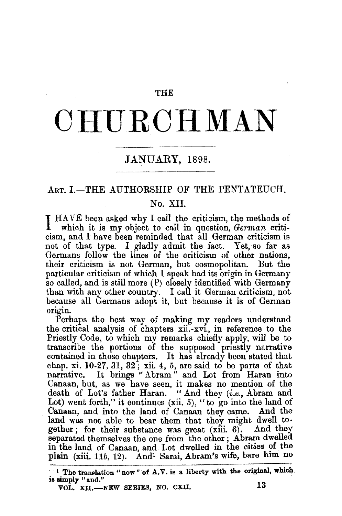#### THE

# **CHURCHMAN**

# JANUARY, 1898.

## ART. I.-THE AUTHORSHIP OF THE PENTATEUCH.

## No. XII.

I HAVE been asked why I call the criticism, the methods of which it is my object to call in question, *German* criticism, aud I have been reminded that all German criticism is not of that type. I gladly admit the fact. Yet, so far as Germans follow the lines of the criticism of other nations, their criticism is not German, but cosmopolitan. But the particular criticism of which I speak had its origin in Germany so called, and is still more (P) closely identified with Germany than with any other country. I call it German criticism, not. because all Germans adopt it, but because it is of German origin.

Perhaps the best way of making my readers understand the critical analysis of chapters xii.-xvi, in reference to the Priestly Code, to which my remarks chiefly apply, will be to transcribe the portions of the supposed priestly narrative contained in those chapters. It has already been stated that chap. xi. 10-27, 31, 32; xii. 4, 5, are said to be parts of that narrative. It brings "Abram" and Lot from Haran into Canaan, but, as we have seen, it makes no mention of the death of Lot's father Haran. "And they *(i.e.,* Abram and Lot) went forth," it continues (xii. 5), "to go into the land of Canaan, and into the land of Canaan they came. And the land was not able to bear them that they might dwell to-<br>gether: for their substance was great  $(xiii, 6)$ . And they gether; for their substance was great  $(xiii. 6)$ . separated themselves the one from the other; Abram dwelled in the land of Canaan, and Lot dwelled in the cities of the plain (xiii. 11b, 12). And<sup>1</sup> Sarai, Abram's wife, bare him no

<sup>1</sup> The translation "now" of  $A.V.$  is a liberty with the original, which is simply "and."

VOL. XII.—NEW SERIES, NO. CXII. 13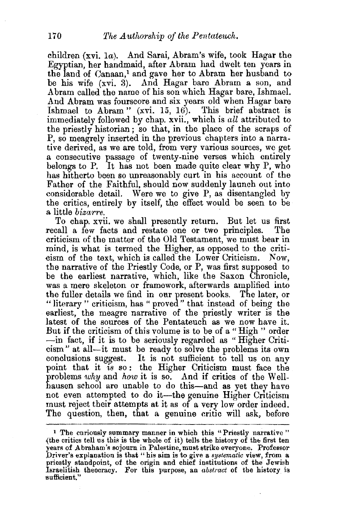children (xvi. 1a). And Sarai, Abram's wife, took Hagar the Egyptian, her handmaid, after Abram had dwelt ten years in the land of Canaan,<sup>1</sup> and gave her to Abram her husband to be his wife (xvi. 3). And Hagar bare Abram a son, and Abram called the name of his son which Hagar bare, Ishmael. And Abram was fourscore and six years old when Hagar bare Ishmael to Abram" (xvi. 15, 16). This brief abstract is immediately followed by chap. xvii., which is *all* attributed to the priestly historian; so that, in the place of the scraps of P, so meagrely inserted in the previous chapters into a narrative derived, as we are told, from very various sources, we get a consecutive passage of twenty-nine verses which entirely belongs to P. It has not been made quite clear why P, who has hitherto been so unreasonably curt in his account of the Father of the Faithful, should now suddenly launch out into considerable detail. Were we to give P, as disentangled by the critics, entirely by itself, the effect would be seen to be a little *bizarre*.

To chap. xvii. we shall presently return. But let us first recall a few facts and restate one or two principles. The criticism of the matter of the Old Testament, we must bear in mind, is what is termed the Higher, as opposed to the criticism of the text, which is called the Lower Criticism. Now, the narrative of the Priestly Code, or P, was first supposed to be the earliest narrative, which, like the Saxon Chronicle, was a mere skeleton or framework, afterwards amplified into the fuller details we find in oar present books. The later, or "literary " criticism, has " proved " that instead of being the earliest, the meagre narrative of the priestly writer is the latest of the sources of the Pentateuch as we now have it. But if the criticism of this volume is to be of a "High " order -in fact, if it is to be seriously regarded as " Higher Criti cism" at all--it must be ready to solve the problems its own conclusions suggest. It is not sufficient to tell us on any point that it *is* so : the Higher Criticism must face the problems why and how it is so. And if critics of the Wellhausen school are unable to do this-and as yet they have not even attempted to do it—the genuine Higher Criticism must reject their attempts at it as of a very low order indeed. The question, then, that a genuine critic will ask, before

<sup>1</sup> The curiously summary manner in which this "Priestly narrative "  ${the critical relation}$  the critics tell us this is the whole of it) tells the history of the first ten years of Abraham's sojourn in Palestine, must strike everyone. Professor Driver's explanation is that" his aim is to give a *systematic* view, from a priestly standpoint, of the origin and chief institutions of the Jewish Israelitish theocracy. For this purpose, an *abstract* of the history is sufficient."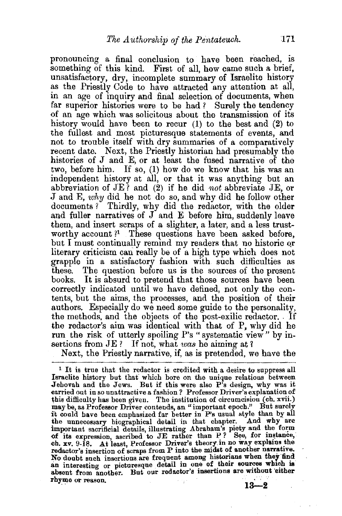pronouncing a final conclusion to have been reached, is something of this kind. First of all, how came such a brief, unsatisfactory, dry, incomplete summary of Israelite history as the Priestly Code to have attracted any attention at all, in an age of inquiry and final selection of documents, when far superior histories were to be had ? Surely the tendency of an age which was solicitous about the transmission of its history would have been to recur (1) to the best and (2) to the fullest and most picturesque statements of events, and not to trouble itself with dry summaries of a comparatively recent date. Next, the Priestly historian had presumably the histories of J and E, or at least the fused narrative of the two, before him. If so, (1) how do we know that his was an independent history at all, or that it was anything but an abbreviation of JE ? and (2) if he did *not* abbreviate JE, or .J and E, *why* did he not do so, and why did he follow other documents? Thirdly, why did the redactor, with the older and fuller narratives of  $J$  and  $E$  before him, suddenly leave them, and insert scraps of a slighter, a later, and a less trustworthy account ?<sup>1</sup> These questions have been asked before, but I must continually remind my readers that no historic or literary criticism can really be of a high type which does not grapple in a satisfactory fashion with such difficulties as these. The question before us is the sources of the present books. It is absurd to pretend that those sources have been correctly indicated until we have defined, not only the contents, but the aims, the processes, and the position of their authors. Especially do we need some guide to the personality, the methods, and the objects of the post-exilic redactor. If the redactor's aim was identical with that of P, why did he run the risk of utterly spoiling P's "systematic view" by insertions from JE ? If not, what *was* he aiming at <sup>1</sup>

Next, the Priestly narrative, if, as is pretended, we have the

 $<sup>1</sup>$  It is true that the redactor is credited with a desire to suppress all</sup> Israelite history but that which bore on the unique relations between Jehovah and the Jews. But if this were also P's design, why was it earried out in so unattractive a fashion? Professor Driver's explanation of this difficulty has been given. The institution of circumcision ( $ch. xvii.$ ) may be, as Professor Driver contends, an "important epoch.'' But surely i't could have been emphasized far better in P's usual style than by all the unnecessary biographical detail in that chapter. And why are important sacrificial details, illustrating Abraham's piety and the form of its expression, ascribed to JE rather than P? See, for instance, ch. xv. 9-18. At least, Professor Driver's theory in no way explains the redactor's insertion of scraps from P into the midst of another narrative. No doubt such insertions are frequent among historians when they find an interesting or picturesque detail in one of their sources which is absent from another. But our redactor's insertions are without 'either rhyme or reason. **18-2**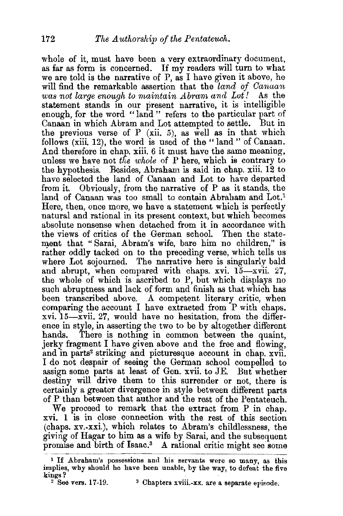whole of it, must have been a very extraordinary document. as far as form is concerned. If my readers will turn to what we are told is the narrative of P, as I have given it above, he will find the remarkable assertion that the *land of Canaan was not large enough to maintain Abram and Lot!* As the statement stands in our present narrative, it is intelligible enough, for the word "land" refers to the particular part of Canaan in which Abram and Lot attempted to settle. But in the previous verse of  $P$  (xii. 5), as well as in that which follows (xiii, 12), the word is used of the "land " of Canaan. And therefore in chap. xiii. 6 it must have the same meaning, unless we have not *the whole* of P here, which is contrary to the hypothesis. Besides, Abraham is said in chap. xiii. 12 to have selected the land of Canaan and Lot to have departed from it. Obviously, from the narrative of P as it stands, the land of Canaan was too small to contain Abraham and Lot.<sup>1</sup> Here, then, once more, we have a statement which is perfectly natural and rational in its present context, but which becomes absolute nonsense when detached from it in accordance with the views of critics of the German school. Then the statement that " Sarai, Abram's wife, bare him no children," is rather oddly tacked on to the preceding verse, which tells us where Lot sojourned. The narrative here is singularly bald and abrupt, when compared with chaps. xvi.  $15-x$ vii. 27, the whole of which is ascribed to P, but which displays no such abruptness and lack of form and finish as that which has been transcribed above. A competent literary critic, when comparing the account I have extracted from P with chaps. xvi. 15-xvii. 27, would have no hesitation, from the difference in style, in asserting the two to be by altogether different hands. There is nothing in common between the quaint. There is nothing in common between the quaint, jerky fragment I have given above and the free and flowing, and in parts<sup>2</sup> striking and picturesque account in chap. xvii. I do not despair of seeing the German school compelled to assign some parts at least of Gen. xvii. to JE. But whether destiny will drive them to this surrender or not, there is certainly a greater divergence in style between different parts of P than between that author and the rest of the Pentateuch.

We proceed to remark that the extract from P in chap. xvi. 1 is in close connection with the rest of this section (chaps. xv.-xxi.), which relates to Abram's childlessness, the giving of Hagar to him as a wife by Sarai, and the subsequent promise and birth of Isaac.<sup>3</sup> A rational critic might see some

<sup>3</sup> Chapters xviii.-xx. are a separate episode.

<sup>&</sup>lt;sup>1</sup> If Abraham's possessions and his servants were so many, as this implies, why should he have been unable, by the way, to defeat the five kings?<br> $2$  See vers. 17-19.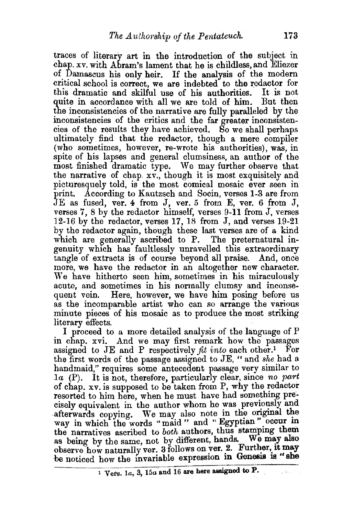traces of literary art in the introduction of the subject in chap. xv. with Abram's lament that he is childless, and Eliezer of Damascus his only heir. If the analysis of the modern critical school is correct, we are indebted to the redactor for this dramatic and skilful use of his authorities. It is not this dramatic and skilful use of his authorities. It is not quite in accordance with all we are told of him. the inconsistencies of the narrative are fully paralleled by the inconsistencies of the critics and the far greater inconsistencies of the results they have achieved. So we shall perhaps ultimately find that the redactor, though a mere compiler (who sometimes, however, re-wrote his authorities), was, in spite of his lapses and general clumsiness, an author of the most finished dramatic type. We may further observe that the narrative of chap. xv., though it is most exquisitely and picturesquely told, is the most comical mosaic ever seen in print. According to Kautzsch and Socin, verses 1-3 are from JE as fused, ver. 4 from J, ver. 5 from E, ver. 6 from J, verses 7, 8 by the redactor himself, verses 9-11 from J, verses 12-16 by the redactor, verses 17, 18 from J, and verses 19-21 by the redactor again, though these last verses are of a kind which are generally ascribed to P. The preternatural ingenuity which has faultlessly unravelled this extraordinary tangle of extracts is of course beyond all praise. And, once more, we have the redactor in an altogether new character. We have hitherto seen him, sometimes in his miraculously acute, and sometimes in his normally clumsy and inconsequent vein. Here, however, we have him posing before us as the incomparable artist who can so arrange the various minute pieces of his mosaic as to produce the most striking literary effects.

I proceed to a more detailed analysis of the language of P in chap. xvi. And we may first remark how the passages assigned to JE and P respectively  $fit\ into\ each\ other.^1$  For the first words of the passage assigned to JE, " and *she* had a handmaid," requires some antecedent passage very similar to *1a* (P). It is not, therefore, particularly clear, since *no part*  of chap. xv. is supposed to be taken from P, why the redactor resorted to him here, when he must have had something precisely equivalent in the author whom he was previously and afterwards copying. We may also note in the original the way in which the words "maid " and " Egyptian " occur in the narratives ascribed to *both* authors, thus stamping them as being by the same, not by different, hands. We may also observe how naturally ver. 3 follows on ver. 2. Further, it may be noticed how the invariable expression in Genesis is "she

1 Vers. 1a, 3, 15a and 16 are here assigned to P.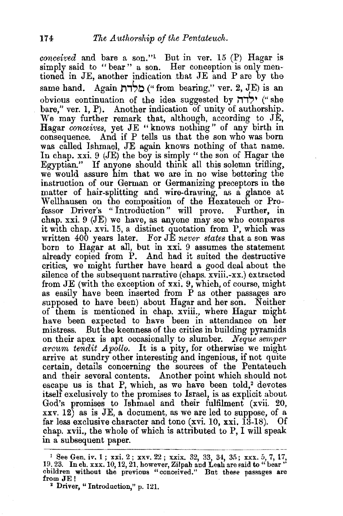*conceived* and bare a son.''l But in ver. 15 (P) Hagar is simply said to "bear" a son. Her conception is only mentioned in JE, another indication that JE and P are by the same hand. Again  $\sum_{n=1}^{\infty}$  ("from bearing," ver. 2, JE) is an obvious continuation of the idea suggested by  $\forall$ דה $\forall$  ("she bare," ver. 1, P). Another indication of unity of authorship. We may further remark that, although, according to JE, Hagar *conceives,* yet JE " knows nothing " of any birth in consequence. And if P tells us that the son who was born was called Ishmael, JE again knows nothing of that name. In chap. xxi. 9 (JE) the boy is simply "the son of Hagar the Egyptian." If anyone should think all this solemn trifling, we would assure him that we are in no wise bettering the instruction of our German or Germanizing preceptors in the matter of hair-splitting and wire-drawing, as a glance at W ellhausen on the composition of the Hexateuch or Professor Driver's "Introduction" will prove. Further, in chap. xxi.  $9$  (JE) we have, as anyone may see who compares it with chap. xvi. 15, a distinct quotation from P, which was written 400 years later. For JE *never states* that a son was born to Hagar at all, but in xxi. 9 assumes the statement already copied from P. And had it suited the destructive critics, we might further have heard a good deal about the silence of the subsequent narrative (chaps. xviii.-xx.) extracted from JE (with the exception of xxi. 9, which, of course, might as easily have been inserted from P as other passages are supposed to have been) about Hagar and her son. Neither of them is mentioned in chap. xviii., where Hagar might have been expected to have been in attendance on her mistress. But the keenness of the critics in building pyramids on their apex is apt occasionally to slumber. *Neque semper arcum tendit Apollo.* It is a pity, for otherwise we might arrive at sundry other interesting and ingenious, if not quite certain, details concerning the sources of the Pentateuch and their several contents. Another point which should not escape us is that P, which, as we have been told,<sup>2</sup> devotes itself exclusively to the promises to Israel, is as explicit about God's promises to Ishmael and their fulfilment (xvii. 20,  $xxv. 12$ ) as is JE, a document, as we are led to suppose, of a far less exclusive character and tone (xvi. 10, xxi. 13-18). Of chap. xvii., the whole of which is attributed toP, I will speak in a subsequent paper.

<sup>&</sup>lt;sup>1</sup> See Gen. iv. 1; xxi. 2; xxv. 22; xxix. 32, 33, 34, 35; xxx. 5, 7, 17,  $19.23$ . In ch. xxx. 10, 12, 21, however, Zilpah and Leah are said to "bear" children without the previous "conceived." But these passages are from JE!<br>from JE! 2 Driver, "Introduction," p. 121.